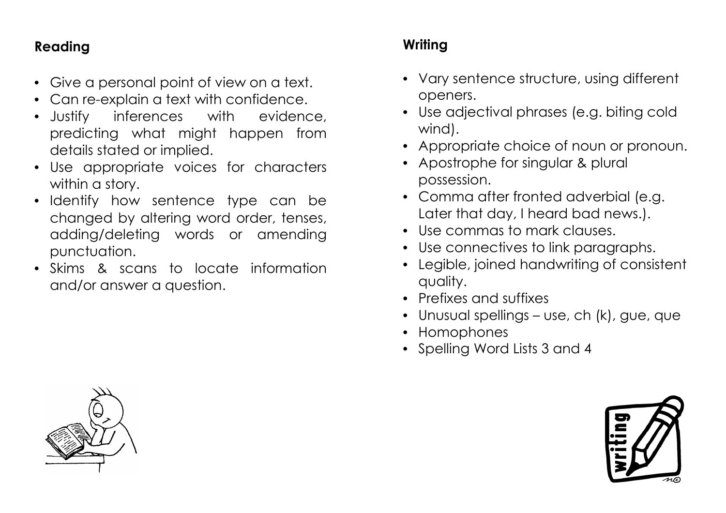## **Reading**

- Give a personal point of view on a text.
- Can re-explain a text with confidence.
- Justify inferences with evidence, predicting what might happen from details stated or implied.
- Use appropriate voices for characters within a story.
- Identify how sentence type can be changed by altering word order, tenses, adding/deleting words or amending punctuation.
- Skims & scans to locate information and/or answer a question.

## **Writing**

- Vary sentence structure, using different openers.
- Use adjectival phrases (e.g. biting cold wind).
- Appropriate choice of noun or pronoun.
- Apostrophe for singular & plural possession.
- Comma after fronted adverbial (e.g. Later that day, I heard bad news.).
- Use commas to mark clauses.
- Use connectives to link paragraphs.
- Legible, joined handwriting of consistent quality.
- Prefixes and suffixes
- Unusual spellings use, ch (k), gue, que
- Homophones
- Spelling Word Lists 3 and 4